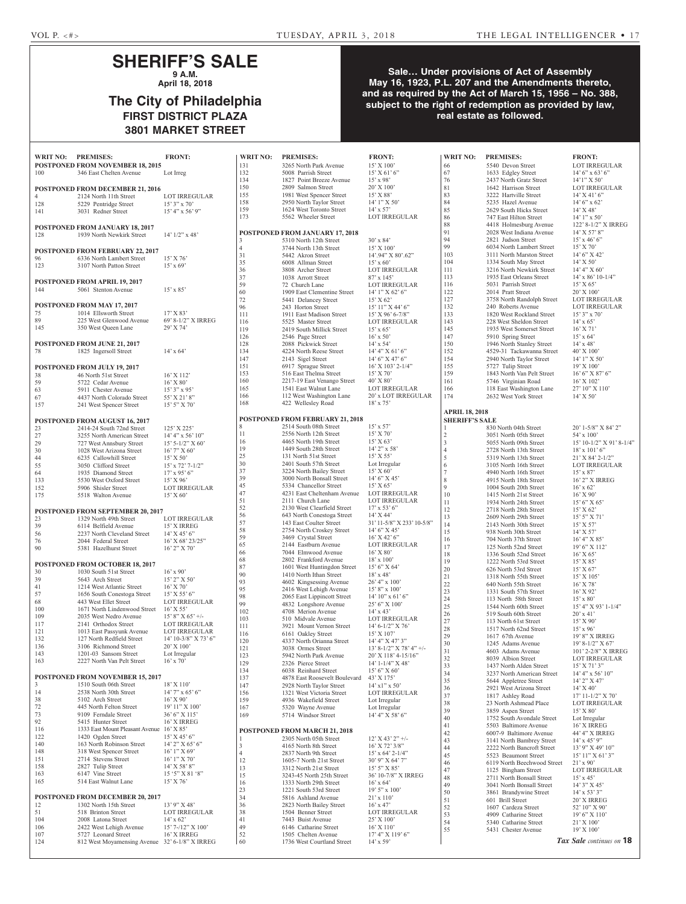## **SHERIFF'S SALE 9 A.M.**

**April 18, 2018**

# **The City of Philadelphia FIRST DISTRICT PLAZA 3801 MARKET STREET**

### **Sale… Under provisions of Act of Assembly May 16, 1923, P.L. 207 and the Amendments thereto, and as required by the Act of March 15, 1956 – No. 388, subject to the right of redemption as provided by law, real estate as followed.**

| WRIT NO: PREMISES: |                                                                     | <b>FRONT:</b>                       |
|--------------------|---------------------------------------------------------------------|-------------------------------------|
|                    | POSTPONED FROM NOVEMBER 18, 2015                                    |                                     |
| 100                | 346 East Chelten Avenue                                             | Lot Irreg                           |
|                    | <b>POSTPONED FROM DECEMBER 21, 2016</b>                             |                                     |
| 4                  | 2124 North 11th Street                                              | <b>LOT IRREGULAR</b>                |
| 128                | 5229 Pentridge Street                                               | $15'3''$ x 70'                      |
| 141                | 3031 Redner Street                                                  | $15' 4''$ x 56' 9"                  |
|                    |                                                                     |                                     |
| 128                | <b>POSTPONED FROM JANUARY 18, 2017</b><br>1939 North Newkirk Street |                                     |
|                    |                                                                     | $14'$ $1/2$ " x $48'$               |
|                    | <b>POSTPONED FROM FEBRUARY 22, 2017</b>                             |                                     |
| 96                 | 6336 North Lambert Street                                           | 15' X 76'                           |
| 123                | 3107 North Patton Street                                            | $15'$ x 69'                         |
|                    |                                                                     |                                     |
| 144                | POSTPONED FROM APRIL 19, 2017<br>5061 Stenton Avenue                | $15'$ x 85'                         |
|                    |                                                                     |                                     |
|                    | POSTPONED FROM MAY 17, 2017                                         |                                     |
| 75                 | 1014 Ellsworth Street                                               | 17' X 83'                           |
| 89                 | 225 West Glenwood Avenue                                            | 69' 8-1/2" X IRREG                  |
| 145                | 350 West Queen Lane                                                 | 29' X 74'                           |
|                    | POSTPONED FROM JUNE 21, 2017                                        |                                     |
| 78                 | 1825 Ingersoll Street                                               | $14' \times 64'$                    |
|                    |                                                                     |                                     |
|                    | POSTPONED FROM JULY 19, 2017                                        |                                     |
| 38                 | 46 North 51st Street                                                | 16' X 112'                          |
| 59                 | 5722 Cedar Avenue                                                   | $16'$ X $80'$                       |
| 63                 | 5911 Chester Avenue                                                 | $15'3''$ x 95'                      |
| 67<br>157          | 4437 North Colorado Street<br>241 West Spencer Street               | 55' X 21' 8"<br>15' 5" X 70'        |
|                    |                                                                     |                                     |
|                    | POSTPONED FROM AUGUST 16, 2017                                      |                                     |
| 23                 | 2414-24 South 72nd Street                                           | 125' X 225'                         |
| 27                 | 3255 North American Street                                          | $14' 4''$ x 56' $10''$              |
| 29                 | 727 West Annsbury Street                                            | 15' 5-1/2" X 60'                    |
| 30<br>44           | 1028 West Arizona Street<br>6235 Callowhill Street                  | 16' 7" X 60'<br>15' X 50'           |
| 55                 | 3050 Clifford Street                                                | 15' x 72' 7-1/2"                    |
| 64                 | 1935 Diamond Street                                                 | $17'$ x 95' 6"                      |
| 133                | 5530 West Oxford Street                                             | $15'$ X 96'                         |
| 152                | 5906 Shisler Street                                                 | <b>LOT IRREGULAR</b>                |
| 175                | 5518 Walton Avenue                                                  | 15' X 60'                           |
|                    |                                                                     |                                     |
| 23                 | POSTPONED FROM SEPTEMBER 20, 2017<br>1329 North 49th Street         | <b>LOT IRREGULAR</b>                |
| 39                 | 6114 Belfield Avenue                                                | 15' X IRREG                         |
| 56                 | 2237 North Cleveland Street                                         | $14'$ X $45'$ 6"                    |
| 76                 | 2044 Federal Street                                                 | 16' X 68' 23/25"                    |
| 90                 | 5381 Hazelhurst Street                                              | 16' 2" X 70'                        |
|                    | POSTPONED FROM OCTOBER 18, 2017                                     |                                     |
| 30                 | 1030 South 51st Street                                              | $16'$ x 90'                         |
| 39                 | 5643 Arch Street                                                    | 15' 2" X 50'                        |
| 41                 | 1214 West Atlantic Street                                           | 16' X 70'                           |
| 57                 | 1656 South Conestoga Street                                         | 15' X 55' 6"                        |
| 68                 | 443 West Ellet Street                                               | LOT IRREGULAR                       |
| 100<br>109         | 1671 North Lindenwood Street<br>2035 West Nedro Avenue              | $16'$ X 55'<br>$15'$ 8" X $65'$ +/- |
| 117                | 2141 Orthodox Street                                                | LOT IRREGULAR                       |
| 121                | 1013 East Passyunk Avenue                                           | LOT IRREGULAR                       |
| 132                | 127 North Redfield Street                                           | 14' 10-3/8" X 73' 6"                |
| 136                | 3106 Richmond Street                                                | 20' X 100'                          |
| 143<br>163         | 1201-03 Sansom Street<br>2227 North Van Pelt Street                 | Lot Irregular<br>$16'$ x $70'$      |
|                    |                                                                     |                                     |
|                    | POSTPONED FROM NOVEMBER 15, 2017                                    |                                     |
| 3                  | 1510 South 06th Street                                              | 18' X 110'                          |
| 14                 | 2538 North 30th Street                                              | 14' 7" x 65' 6"                     |
| 38<br>72           | 5102 Arch Street<br>445 North Felton Street                         | 16' X 90'<br>19' 11" X 100'         |
| 73                 | 9109 Ferndale Street                                                | 36' 6" X 115'                       |
| 92                 | 5415 Hunter Street                                                  | 16' X IRREG                         |
| 116                | 1333 East Mount Pleasant Avenue 16' X 85'                           |                                     |
| 122                | 1420 Ogden Street                                                   | 15' X 45' 6"                        |
| 140                | 163 North Robinson Street                                           | 14' 2" X 65' 6"                     |
| 148<br>151         | 318 West Spencer Street<br>2714 Stevens Street                      | 16' 1" X 69'<br>16' 1" X 70'        |
| 158                | 2827 Tulip Street                                                   | 14' X 58' 8"                        |
| 163                | 6147 Vine Street                                                    | 15 '5" X 81 '8"                     |
| 165                | 514 East Walnut Lane                                                | 15' X 76'                           |
|                    |                                                                     |                                     |
|                    | POSTPONED FROM DECEMBER 20, 2017                                    |                                     |
| 12<br>51           | 1302 North 15th Street<br>518 Brinton Street                        | 13' 9" X 48'<br>LOT IRREGULAR       |
| 104                | 2008 Latona Street                                                  | $14' \times 62'$                    |
| 106                | 2422 West Lehigh Avenue                                             | 15' 7-/12" X 100'                   |
|                    |                                                                     |                                     |
| 107<br>124         | 5727 Leonard Street<br>812 West Moyamensing Avenue                  | 16' X IRREG<br>32' 6-1/8" X IRREG   |

| <b>WRIT NO:</b>     | <b>PREMISES:</b>                                     | <b>FRONT:</b>                              | <b>WRIT NO:</b>                                | <b>PREMISES:</b>                                  | <b>FRONT:</b>                |
|---------------------|------------------------------------------------------|--------------------------------------------|------------------------------------------------|---------------------------------------------------|------------------------------|
| 131                 | 3265 North Park Avenue                               | 15' X 100'                                 | 66                                             | 5540 Devon Street                                 | <b>LOT IRRE</b>              |
| 132                 | 5008 Parrish Street                                  | $15'$ X 61' 6"                             | 67                                             | 1633 Edgley Street                                | $14'6''$ x 63                |
| 134                 | 1827 Point Breeze Avenue                             | $15'$ x 98'                                | 76                                             | 2437 North Gratz Street                           | $14'1''$ X 50                |
| 150                 | 2809 Salmon Street                                   | $20'$ X $100'$                             | 81                                             | 1642 Harrison Street                              | <b>LOT IRRE</b>              |
| 155                 | 1981 West Spencer Street                             | $15'$ X 88'                                | 83                                             | 3222 Hartville Street                             | $14'$ X 41' $\epsilon$       |
| 158                 | 2950 North Taylor Street                             | $14'1''$ X 50'                             | 84                                             | 5235 Hazel Avenue                                 | $14'6''$ x 62                |
| 159                 | 1624 West Toronto Street                             | $14' \times 57'$                           | 85                                             | 2629 South Hicks Street                           | $14'$ X 48'                  |
| 173                 | 5562 Wheeler Street                                  | <b>LOT IRREGULAR</b>                       | 86                                             | 747 East Hilton Street                            | $14'1''$ x 50                |
|                     |                                                      |                                            | 88                                             | 4418 Holmesburg Avenue                            | $122' 8-1/2'$                |
|                     | POSTPONED FROM JANUARY 17, 2018                      |                                            | 91<br>94                                       | 2028 West Indiana Avenue<br>2821 Judson Street    | $14'$ X 57' $8$              |
| 3<br>$\overline{4}$ | 5310 North 12th Street                               | $30'$ x 84'                                | 99                                             | 6034 North Lambert Street                         | $15'$ x 46' 6<br>$15'$ X 70' |
|                     | 3744 North 13th Street                               | 15' X 100'                                 | 103                                            | 3111 North Marston Street                         | $14'6''$ X 4.                |
| 31<br>35            | 5442 Akron Street<br>6008 Allman Street              | 14'.94" X 80'.62"<br>$15' \times 60'$      | 104                                            | 1334 South May Street                             | $14'$ X 50'                  |
| 36                  | 3808 Archer Street                                   | <b>LOT IRREGULAR</b>                       | 111                                            | 3216 North Newkirk Street                         | 14' 4'' X 6                  |
| 37                  | 1038 Arrott Street                                   | $87'$ x 145'                               | 113                                            | 1935 East Orleans Street                          | $14'$ x $86'$ 1              |
| 59                  | 72 Church Lane                                       | <b>LOT IRREGULAR</b>                       | 116                                            | 5031 Parrish Street                               | 15' X 65'                    |
| 60                  | 1909 East Clementine Street                          | $14'1''$ X 62' 6"                          | 122                                            | 2014 Pratt Street                                 | 20' X 100'                   |
| 72                  | 5441 Delancey Street                                 | 15' X 62'                                  | 127                                            | 3758 North Randolph Street                        | <b>LOT IRRE</b>              |
| 96                  | 243 Horton Street                                    | $15' 11''$ X 44' 6"                        | 132                                            | 240 Roberts Avenue                                | <b>LOT IRRE</b>              |
| 111                 | 1911 East Madison Street                             | $15'$ X 96' 6-7/8"                         | 133                                            | 1820 West Rockland Street                         | $15'3''$ x 70                |
| 116                 | 5525 Master Street                                   | <b>LOT IRREGULAR</b>                       | 143                                            | 228 West Sheldon Street                           | $14' \times 65'$             |
| 119                 | 2419 South Millick Street                            | $15'$ x 65'                                | 145                                            | 1935 West Somerset Street                         | $16'$ X 71'                  |
| 126                 | 2546 Page Street                                     | $16'$ x 50'                                | 147                                            | 5910 Spring Street                                | $15' \times 64'$             |
| 128                 | 2088 Pickwick Street                                 | $14' \times 54'$                           | 150                                            | 1946 North Stanley Street                         | $14'$ x $48'$                |
| 134                 | 4224 North Reese Street                              | 14' 4'' X 61' 6''                          | 152                                            | 4529-31 Tackawanna Street                         | 40' X 100'                   |
| 147                 | 2143 Sigel Street                                    | 14' 6" X 47' 6"                            | 154                                            | 2940 North Taylor Street                          | $14'1''$ X 5                 |
| 151                 | 6917 Sprague Street                                  | $16'$ X $103'$ 2- $1/4"$                   | 155                                            | 5727 Tulip Street                                 | 19' X 100'                   |
| 153<br>160          | 516 East Thelma Street                               | $15'$ X 70'<br>$40'$ X $80'$               | 159                                            | 1843 North Van Pelt Street                        | 16' 6''  X 8'                |
| 165                 | 2217-19 East Venango Street<br>1541 East Walnut Lane | <b>LOT IRREGULAR</b>                       | 161<br>166                                     | 5746 Virginian Road<br>118 East Washington Lane   | $16'$ X $102'$<br>27'10'' X  |
| 166                 | 112 West Washington Lane                             | 20' x LOT IRREGULAR                        | 174                                            | 2632 West York Street                             | $14'$ X 50'                  |
| 168                 | 422 Wellesley Road                                   | $18'$ x 75'                                |                                                |                                                   |                              |
|                     |                                                      |                                            |                                                |                                                   |                              |
|                     | <b>POSTPONED FROM FEBRUARY 21, 2018</b>              |                                            | <b>APRIL 18, 2018</b><br><b>SHERIFF'S SALE</b> |                                                   |                              |
| 8                   | 2514 South 08th Street                               | $15' \times 57'$                           | 1                                              | 830 North 04th Street                             | $20'$ 1-5/8"                 |
| 11                  | 2556 North 12th Street                               | $15'$ X 70'                                | $\sqrt{2}$                                     | 3051 North 05th Street                            | $54' \times 100'$            |
| 16                  | 4465 North 19th Street                               | 15' X 63'                                  | 3                                              | 5055 North 09th Street                            | $15'$ 10-1/2                 |
| 19                  | 1449 South 28th Street                               | $14'$ 2" x 58'                             | $\overline{4}$                                 | 2728 North 13th Street                            | $18'$ x $101'$               |
| 25                  | 131 North 51st Street                                | $15'$ X 55'                                | 5                                              | 5319 North 13th Street                            | $21'$ X 84' 2                |
| 30                  | 2401 South 57th Street                               | Lot Irregular                              | 6                                              | 3105 North 16th Street                            | <b>LOT IRRE</b>              |
| 37                  | 3224 North Bailey Street                             | 15' X 60'                                  | $\overline{7}$                                 | 4940 North 16th Street                            | $15' \times 87'$             |
| 39                  | 3000 North Bonsall Street                            | $14'6''$ X 45'                             | 8                                              | 4915 North 18th Street                            | 16' 2" X II                  |
| 45                  | 5334 Chancellor Street                               | 15' X 65'                                  | 9                                              | 1004 South 20th Street                            | $16'$ x 62'                  |
| 47                  | 4231 East Cheltenham Avenue                          | <b>LOT IRREGULAR</b>                       | 10                                             | 1415 North 21st Street                            | $16'$ X 90'                  |
| 51                  | 2111 Church Lane                                     | <b>LOT IRREGULAR</b>                       | 11                                             | 1934 North 24th Street                            | 15' 6'' X 6                  |
| 52                  | 2130 West Clearfield Street                          | $17'$ x 53' 6"                             | 12                                             | 2718 North 28th Street                            | 15' X 62'                    |
| 56<br>57            | 643 North Conestoga Street                           | $14'$ X 44'                                | 13                                             | 2609 North 29th Street                            | $15'5''$ X 7                 |
| 58                  | 143 East Coulter Street<br>2754 North Croskey Street | 31' 11-5/8" X 233' 10-5/8"<br>14' 6" X 45' | 14                                             | 2143 North 30th Street                            | $15'$ X 57'                  |
| 59                  | 3469 Crystal Street                                  | $16'$ X 42' 6"                             | 15                                             | 938 North 30th Street                             | $14'$ X 57'                  |
| 65                  | 2144 Eastburn Avenue                                 | LOT IRREGULAR                              | 16<br>17                                       | 704 North 37th Street                             | 16' 4" X 8                   |
| 66                  | 7044 Elmwood Avenue                                  | $16'$ X $80'$                              | 18                                             | 125 North 52nd Street<br>1336 South 52nd Street   | 19'6'' X1<br>$16'$ X 65'     |
| 68                  | 2802 Frankford Avenue                                | $18' \times 100'$                          | 19                                             | 1222 North 53rd Street                            | $15'$ X $85'$                |
| 87                  | 1601 West Huntingdon Street                          | 15' 6'' X 64'                              | 20                                             | 626 North 53rd Street                             | 15' X 67'                    |
| 90                  | 1410 North Ithan Street                              | $18'$ x 48'                                | 21                                             | 1318 North 55th Street                            | $15'$ X $105'$               |
| 93                  | 4602 Kingsessing Avenue                              | 26' 4" x 100'                              | 22                                             | 640 North 55th Street                             | $16'$ X 78'                  |
| 95                  | 2416 West Lehigh Avenue                              | 15' 8" x 100'                              | 23                                             | 1331 South 57th Street                            | $16'$ X 92'                  |
| 98                  | 2065 East Lippincott Street                          | $14'$ 10" x 61' 6"                         | 24                                             | 113 North 58th Street                             | $15' \times 80'$             |
| 99                  | 4832 Longshore Avenue                                | 25' 6" X 100'                              | 25                                             | 1544 North 60th Street                            | 15' 4'' X 9                  |
| 102                 | 4708 Merion Avenue                                   | $14' \times 43'$                           | 26                                             | 519 South 60th Street                             | $20'$ x 41'                  |
| 103                 | 510 Midvale Avenue                                   | <b>LOT IRREGULAR</b>                       | 27                                             | 113 North 61st Street                             | $15'$ X 90'                  |
| 111                 | 3921 Mount Vernon Street                             | $14' 6 - 1/2'' X 76'$                      | 28                                             | 1517 North 62nd Street                            | $15'$ x 96 <sup>2</sup>      |
| 116<br>120          | 6161 Oakley Street<br>4337 North Orianna Street      | $15'$ X $107'$<br>$14'$ 4" X 47' 3"        | 29                                             | 1617 67th Avenue                                  | 19' 8" X II                  |
| 121                 | 3038 Ormes Street                                    | $13' 8-1/2''$ X 78' 4" +/-                 | 30                                             | 1245 Adams Avenue                                 | $19' 8 - 1/2''$              |
| 123                 | 5942 North Park Avenue                               | 20' X 118' 4-15/16"                        | 31                                             | 4603 Adams Avenue                                 | $101'$ 2-2/8                 |
| 129                 | 2326 Pierce Street                                   | $14' 1 - 1/4'' X 48'$                      | 32                                             | 8039 Albion Street                                | <b>LOT IRRE</b>              |
| 134                 | 6038 Reinhard Street                                 | $15'6''$ X 60'                             | 33                                             | 1437 North Alden Street                           | $15'$ X 71' 3                |
| 137                 | 4878 East Roosevelt Boulevard                        | 43' X 175'                                 | 34                                             | 3237 North American Street                        | $14' 4''$ x 56               |
| 147                 | 2928 North Taylor Street                             | $14'$ x $1''$ x 50'                        | 35<br>36                                       | 5644 Appletree Street<br>2921 West Arizona Street | 14' 2" X 4<br>$14'$ X $40'$  |
| 156                 | 1321 West Victoria Street                            | LOT IRREGULAR                              | 37                                             | 1817 Ashley Road                                  | $17' 11 - 1/2'$              |
| 159                 | 4936 Wakefield Street                                | Lot Irregular                              | 38                                             | 23 North Ashmead Place                            | <b>LOT IRRE</b>              |
| 167                 | 5320 Wayne Avenue                                    | Lot Irregular                              | 39                                             | 3859 Aspen Street                                 | $15'$ X $80'$                |
| 169                 | 5714 Windsor Street                                  | 14' 4" X 58' 6"                            | 40                                             | 1752 South Avondale Street                        | Lot Irregul                  |
|                     |                                                      |                                            | 41                                             | 5503 Baltimore Avenue                             | 16' X IRR                    |
|                     | POSTPONED FROM MARCH 21, 2018                        |                                            | 42                                             | 6007-9 Baltimore Avenue                           | 44' 4" X II                  |
| 1                   | 2305 North 05th Street                               | $12'$ X 43' $2''$ +/-                      | 43                                             | 3141 North Bambrey Street                         | $14'$ x $45'$ 9              |
| 3                   | 4165 North 8th Street                                | $16'$ X 72' $3/8''$                        | 44                                             | 2222 North Bancroft Street                        | 13' 9" X 4                   |
| 4                   | 2837 North 9th Street                                | $15'$ x 64' 2-1/4"                         | 45                                             | 5523 Beaumont Street                              | 15' 11'' X                   |
| 12<br>13            | 1605-7 North 21st Street                             | 30' 9" X 64' 7"                            | 46                                             | 6119 North Beechwood Street                       | $21'$ x 90'                  |
| 15                  | 3312 North 21st Street<br>3243-45 North 25th Street  | $15'5''$ X $85'$<br>36' 10-7/8" X IRREG    | 47                                             | 1125 Bingham Street                               | <b>LOT IRRE</b>              |
| 16                  | 1333 North 29th Street                               | $16'$ x 64'                                | 48                                             | 2711 North Bonsall Street                         | $15'$ x 45'                  |
| 23                  | 1221 South 53rd Street                               | $19'5''$ x $100'$                          | 49                                             | 3041 North Bonsall Street                         | $14'3''$ X 4                 |
| 34                  | 5816 Ashland Avenue                                  | $21'$ x $110'$                             | 50                                             | 3861 Brandywine Street                            | $14' \times 53'$ 3           |
| 36                  | 2823 North Bailey Street                             | $16'$ x 47'                                | 51<br>52                                       | 601 Brill Street                                  | <b>20' X IRR</b>             |
| 38                  | 1504 Benner Street                                   | LOT IRREGULAR                              | 53                                             | 1607 Cardeza Street<br>4909 Catharine Street      | 52' 10" X<br>$19'6''$ X 1    |
| 41                  | 7443 Buist Avenue                                    | $25'$ X $100'$                             | 54                                             | 5340 Catharine Street                             | $21'$ X $100'$               |
| 49                  | 6146 Catharine Street                                | $16'$ X $110'$                             | 55                                             | 5431 Chester Avenue                               | 19' X 100'                   |
| 52                  | 1505 Chelten Avenue                                  | $17'$ 4" X $119'$ 6"                       |                                                |                                                   |                              |
| 60                  | 1736 West Courtland Street                           | $14'$ x 59'                                |                                                |                                                   | Tax Sale cont.               |

| 66                         | 5540 Devon Street                                   | LOT IRREGULAR                                                             |
|----------------------------|-----------------------------------------------------|---------------------------------------------------------------------------|
| 67                         | 1633 Edgley Street                                  | 14' 6" x 63' 6"                                                           |
| 76<br>81                   | 2437 North Gratz Street<br>1642 Harrison Street     | 14'1" X 50'<br>LOT IRREGULAR                                              |
| 83                         | 3222 Hartville Street                               | $14'$ X 41' 6"                                                            |
| 84                         | 5235 Hazel Avenue                                   | 14' 6" x 62'                                                              |
| 85                         | 2629 South Hicks Street                             | 14' X 48'                                                                 |
| 86<br>88                   | 747 East Hilton Street<br>4418 Holmesburg Avenue    | $14'$ 1" x 50'<br>122' 8-1/2" X IRREG                                     |
| 91                         | 2028 West Indiana Avenue                            | 14' X 57' 8"                                                              |
| 94                         | 2821 Judson Street                                  | $15'$ x 46' 6"                                                            |
| 99                         | 6034 North Lambert Street                           | 15' X 70'                                                                 |
| 103                        | 3111 North Marston Street                           | 14' 6" X 42'<br>14' X 50'                                                 |
| 104<br>111                 | 1334 South May Street<br>3216 North Newkirk Street  | 14' 4'' X 60'                                                             |
| 113                        | 1935 East Orleans Street                            | 14' x 86' 10-1/4"                                                         |
| 116                        | 5031 Parrish Street                                 | 15' X 65'                                                                 |
| 122                        | 2014 Pratt Street                                   | 20' X 100'                                                                |
| 127<br>132                 | 3758 North Randolph Street<br>240 Roberts Avenue    | <b>LOT IRREGULAR</b><br>LOT IRREGULAR                                     |
| 133                        | 1820 West Rockland Street                           | $15'3''$ x 70'                                                            |
| 143                        | 228 West Sheldon Street                             | $14' \times 65'$                                                          |
| 145                        | 1935 West Somerset Street                           | $16'$ X 71'                                                               |
| 147<br>150                 | 5910 Spring Street<br>1946 North Stanley Street     | $15'$ x 64'<br>$14'$ x $48'$                                              |
| 152                        | 4529-31 Tackawanna Street                           | 40' X 100'                                                                |
| 154                        | 2940 North Taylor Street                            | $14^\circ$ 1" X 50'                                                       |
| 155                        | 5727 Tulip Street                                   | 19' X 100'                                                                |
| 159<br>161                 | 1843 North Van Pelt Street<br>5746 Virginian Road   | $16^\circ$ 6" X $87^\circ$ 6"<br>$16^{\circ} \, \mathrm{X}$ $102^{\circ}$ |
| 166                        | 118 East Washington Lane                            | 27' 10" X 110'                                                            |
| 174                        | 2632 West York Street                               | $14'$ X 50'                                                               |
|                            |                                                     |                                                                           |
| APRIL 18, 2018             |                                                     |                                                                           |
| <b>SHERIFF'S SALE</b><br>1 | 830 North 04th Street                               | 20' 1-5/8" X 84' 2"                                                       |
| $\overline{c}$             | 3051 North 05th Street                              | 54' x 100'                                                                |
| 3                          | 5055 North 09th Street                              | 15' 10-1/2" X 91' 8-1/4"                                                  |
| 4                          | 2728 North 13th Street                              | $18'$ x $101'$ 6"                                                         |
| 5<br>6                     | 5319 North 13th Street<br>3105 North 16th Street    | 21' X 84' 2-1/2"<br><b>LOT IRREGULAR</b>                                  |
| 7                          | 4940 North 16th Street                              | $15' \times 87'$                                                          |
| 8                          | 4915 North 18th Street                              | 16' 2" X IRREG                                                            |
| 9                          | 1004 South 20th Street                              | $16'$ x 62'                                                               |
| 10<br>11                   | 1415 North 21st Street<br>1934 North 24th Street    | $16'$ X 90'<br>15' 6" X 65'                                               |
| 12                         | 2718 North 28th Street                              | 15' X 62'                                                                 |
| 13                         | 2609 North 29th Street                              | 15' 5" X 71'                                                              |
| 14                         | 2143 North 30th Street                              | $15^\circ\, \mathrm{X}$ 57'                                               |
| 15<br>16                   | 938 North 30th Street<br>704 North 37th Street      | 14' X 57'<br>16' 4" X 85'                                                 |
| 17                         | 125 North 52nd Street                               | 19' 6" X 112'                                                             |
| 18                         | 1336 South 52nd Street                              | $16'$ X $65'$                                                             |
| 19                         | 1222 North 53rd Street                              | 15' X 85'                                                                 |
| 20<br>21                   | 626 North 53rd Street<br>1318 North 55th Street     | 15' X 67'<br>15' X 105'                                                   |
| 22                         | 640 North 55th Street                               | 16' X 78'                                                                 |
| 23                         | 1331 South 57th Street                              | 16' X 92'                                                                 |
| 24                         | 113 North 58th Street                               | $15'$ x $80'$                                                             |
| 25<br>26                   | 1544 North 60th Street<br>519 South 60th Street     | 15' 4" X 93' 1-1/4"<br>20' x 41'                                          |
| 27                         | 113 North 61st Street                               | 15' X 90'                                                                 |
| 28                         | 1517 North 62nd Street                              | $15'$ x 96'                                                               |
| 29                         | 1617 67th Avenue                                    | 19' 8" X IRREG                                                            |
| 30<br>31                   | 1245 Adams Avenue<br>4603 Adams Avenue              | 19' 8-1/2" X 67'<br>101' 2-2/8" X IRREG                                   |
| 32                         | 8039 Albion Street                                  | LOT IRREGULAR                                                             |
| 33                         | 1437 North Alden Street                             | 15' X 71' 3"                                                              |
| 34                         | 3237 North American Street                          | $14' 4''$ x 56' $10''$                                                    |
| 35<br>36                   | 5644 Appletree Street<br>2921 West Arizona Street   | 14' 2" X 47'<br>14' X 40'                                                 |
| 37                         | 1817 Ashley Road                                    | 17' 11-1/2" X 70'                                                         |
| 38                         | 23 North Ashmead Place                              | LOT IRREGULAR                                                             |
| 39                         | 3859 Aspen Street                                   | 15' X 80'                                                                 |
| 40<br>41                   | 1752 South Avondale Street<br>5503 Baltimore Avenue | Lot Irregular<br>16' X IRREG                                              |
| 42                         | 6007-9 Baltimore Avenue                             | 44' 4" X IRREG                                                            |
| 43                         | 3141 North Bambrey Street                           | $14'$ x $45'$ 9"                                                          |
| 44                         | 2222 North Bancroft Street                          | 13' 9" X 49' 10"                                                          |
| 45<br>46                   | 5523 Beaumont Street<br>6119 North Beechwood Street | 15' 11" X 61' 3"                                                          |
| 47                         | 1125 Bingham Street                                 | $21'$ x 90'<br>LOT IRREGULAR                                              |
| 48                         | 2711 North Bonsall Street                           | $15' \times 45'$                                                          |
| 49                         | 3041 North Bonsall Street                           | 14' 3" X 45'                                                              |
| 50                         | 3861 Brandywine Street                              | $14' \times 53'$ 3"                                                       |
| 51<br>52                   | 601 Brill Street<br>1607 Cardeza Street             | 20' X IRREG<br>52' 10" X 90'                                              |
| 53                         | 4909 Catharine Street                               | 19' 6" X 110'                                                             |
| 54                         | 5340 Catharine Street                               | 21' X 100'                                                                |
| 55                         | 5431 Chester Avenue                                 | 19' X 100'                                                                |

 $\overline{X}$  IRREG GULAR

*Tax Sale continues on* **18**